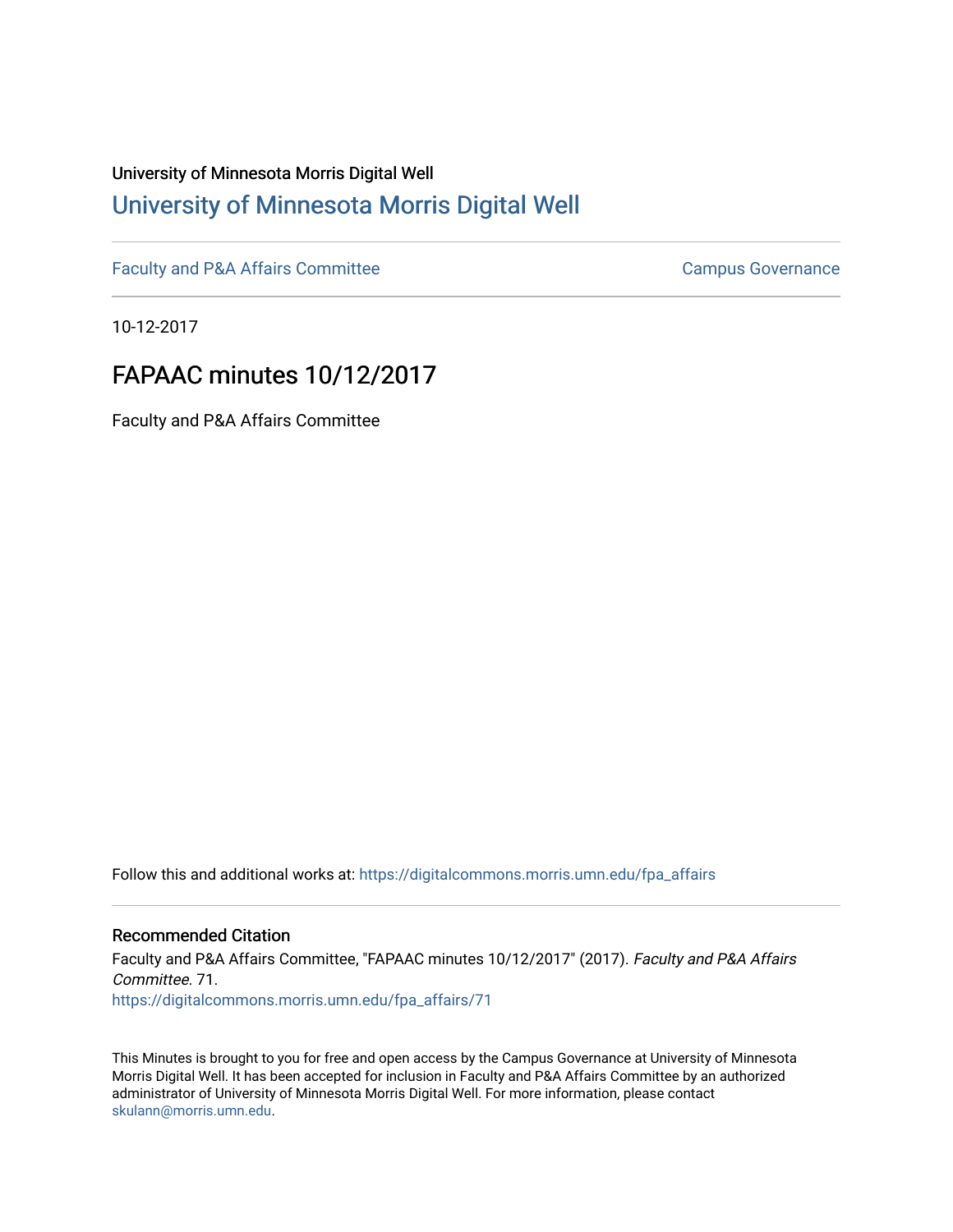# University of Minnesota Morris Digital Well [University of Minnesota Morris Digital Well](https://digitalcommons.morris.umn.edu/)

[Faculty and P&A Affairs Committee](https://digitalcommons.morris.umn.edu/fpa_affairs) [Campus Governance](https://digitalcommons.morris.umn.edu/campgov) Campus Governance

10-12-2017

# FAPAAC minutes 10/12/2017

Faculty and P&A Affairs Committee

Follow this and additional works at: [https://digitalcommons.morris.umn.edu/fpa\\_affairs](https://digitalcommons.morris.umn.edu/fpa_affairs?utm_source=digitalcommons.morris.umn.edu%2Ffpa_affairs%2F71&utm_medium=PDF&utm_campaign=PDFCoverPages)

## Recommended Citation

Faculty and P&A Affairs Committee, "FAPAAC minutes 10/12/2017" (2017). Faculty and P&A Affairs Committee. 71. [https://digitalcommons.morris.umn.edu/fpa\\_affairs/71](https://digitalcommons.morris.umn.edu/fpa_affairs/71?utm_source=digitalcommons.morris.umn.edu%2Ffpa_affairs%2F71&utm_medium=PDF&utm_campaign=PDFCoverPages) 

This Minutes is brought to you for free and open access by the Campus Governance at University of Minnesota Morris Digital Well. It has been accepted for inclusion in Faculty and P&A Affairs Committee by an authorized administrator of University of Minnesota Morris Digital Well. For more information, please contact [skulann@morris.umn.edu.](mailto:skulann@morris.umn.edu)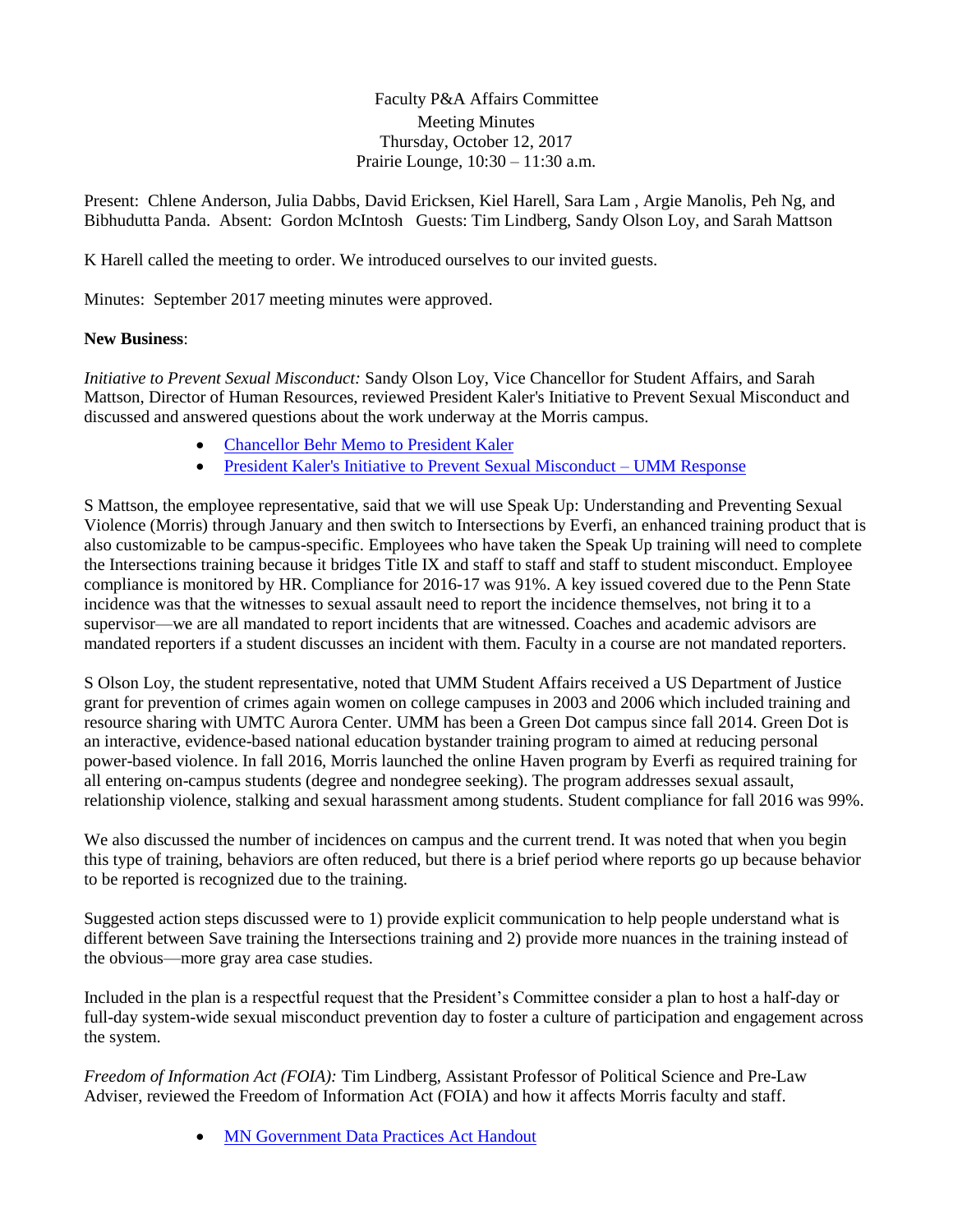Faculty P&A Affairs Committee Meeting Minutes Thursday, October 12, 2017 Prairie Lounge, 10:30 – 11:30 a.m.

Present: Chlene Anderson, Julia Dabbs, David Ericksen, Kiel Harell, Sara Lam , Argie Manolis, Peh Ng, and Bibhudutta Panda. Absent: Gordon McIntosh Guests: Tim Lindberg, Sandy Olson Loy, and Sarah Mattson

K Harell called the meeting to order. We introduced ourselves to our invited guests.

Minutes: September 2017 meeting minutes were approved.

## **New Business**:

*Initiative to Prevent Sexual Misconduct:* Sandy Olson Loy, Vice Chancellor for Student Affairs, and Sarah Mattson, Director of Human Resources, reviewed President Kaler's Initiative to Prevent Sexual Misconduct and discussed and answered questions about the work underway at the Morris campus.

- [Chancellor Behr Memo to President Kaler](https://drive.google.com/open?id=0B1dPU8cij5_QUXNBenBZXzlxbmFLN2hVN3RxZzNvZ05FSzYw)
- [President Kaler's Initiative to Prevent Sexual Misconduct –](https://drive.google.com/open?id=0B1dPU8cij5_QRldkdjRRMVlYbEpldURhUTBSQ3hMalpJRFJn) UMM Response

S Mattson, the employee representative, said that we will use Speak Up: Understanding and Preventing Sexual Violence (Morris) through January and then switch to Intersections by Everfi, an enhanced training product that is also customizable to be campus-specific. Employees who have taken the Speak Up training will need to complete the Intersections training because it bridges Title IX and staff to staff and staff to student misconduct. Employee compliance is monitored by HR. Compliance for 2016-17 was 91%. A key issued covered due to the Penn State incidence was that the witnesses to sexual assault need to report the incidence themselves, not bring it to a supervisor—we are all mandated to report incidents that are witnessed. Coaches and academic advisors are mandated reporters if a student discusses an incident with them. Faculty in a course are not mandated reporters.

S Olson Loy, the student representative, noted that UMM Student Affairs received a US Department of Justice grant for prevention of crimes again women on college campuses in 2003 and 2006 which included training and resource sharing with UMTC Aurora Center. UMM has been a Green Dot campus since fall 2014. Green Dot is an interactive, evidence-based national education bystander training program to aimed at reducing personal power-based violence. In fall 2016, Morris launched the online Haven program by Everfi as required training for all entering on-campus students (degree and nondegree seeking). The program addresses sexual assault, relationship violence, stalking and sexual harassment among students. Student compliance for fall 2016 was 99%.

We also discussed the number of incidences on campus and the current trend. It was noted that when you begin this type of training, behaviors are often reduced, but there is a brief period where reports go up because behavior to be reported is recognized due to the training.

Suggested action steps discussed were to 1) provide explicit communication to help people understand what is different between Save training the Intersections training and 2) provide more nuances in the training instead of the obvious—more gray area case studies.

Included in the plan is a respectful request that the President's Committee consider a plan to host a half-day or full-day system-wide sexual misconduct prevention day to foster a culture of participation and engagement across the system.

*Freedom of Information Act (FOIA):* Tim Lindberg, Assistant Professor of Political Science and Pre-Law Adviser, reviewed the Freedom of Information Act (FOIA) and how it affects Morris faculty and staff.

[MN Government Data Practices Act Handout](https://drive.google.com/open?id=0B1dPU8cij5_QSEl1WXN5VnNsUkU2RFhaQ0tJM2kza09rMDRz)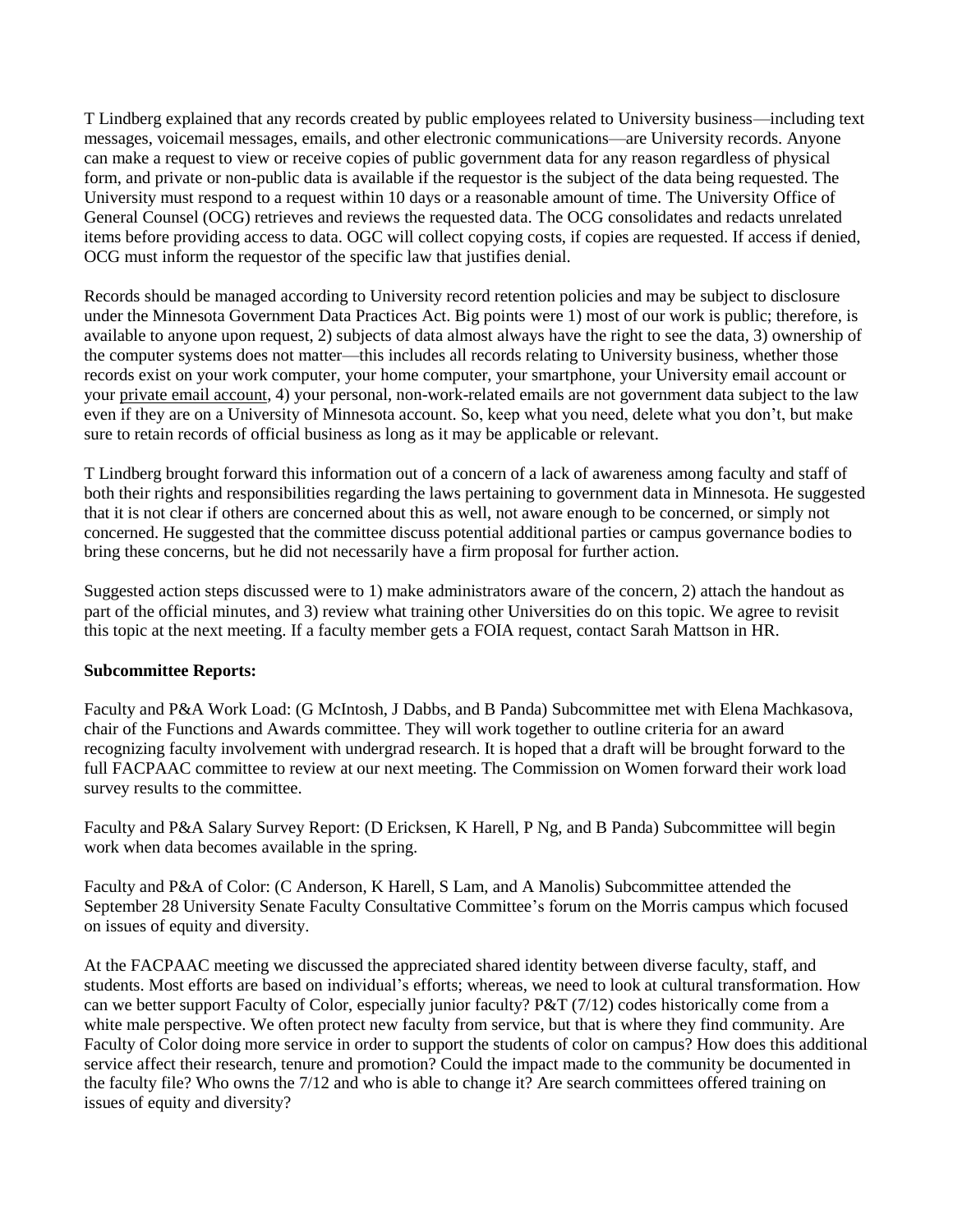T Lindberg explained that any records created by public employees related to University business—including text messages, voicemail messages, emails, and other electronic communications—are University records. Anyone can make a request to view or receive copies of public government data for any reason regardless of physical form, and private or non-public data is available if the requestor is the subject of the data being requested. The University must respond to a request within 10 days or a reasonable amount of time. The University Office of General Counsel (OCG) retrieves and reviews the requested data. The OCG consolidates and redacts unrelated items before providing access to data. OGC will collect copying costs, if copies are requested. If access if denied, OCG must inform the requestor of the specific law that justifies denial.

Records should be managed according to University record retention policies and may be subject to disclosure under the Minnesota Government Data Practices Act. Big points were 1) most of our work is public; therefore, is available to anyone upon request, 2) subjects of data almost always have the right to see the data, 3) ownership of the computer systems does not matter—this includes all records relating to University business, whether those records exist on your work computer, your home computer, your smartphone, your University email account or your private email account, 4) your personal, non-work-related emails are not government data subject to the law even if they are on a University of Minnesota account. So, keep what you need, delete what you don't, but make sure to retain records of official business as long as it may be applicable or relevant.

T Lindberg brought forward this information out of a concern of a lack of awareness among faculty and staff of both their rights and responsibilities regarding the laws pertaining to government data in Minnesota. He suggested that it is not clear if others are concerned about this as well, not aware enough to be concerned, or simply not concerned. He suggested that the committee discuss potential additional parties or campus governance bodies to bring these concerns, but he did not necessarily have a firm proposal for further action.

Suggested action steps discussed were to 1) make administrators aware of the concern, 2) attach the handout as part of the official minutes, and 3) review what training other Universities do on this topic. We agree to revisit this topic at the next meeting. If a faculty member gets a FOIA request, contact Sarah Mattson in HR.

#### **Subcommittee Reports:**

Faculty and P&A Work Load: (G McIntosh, J Dabbs, and B Panda) Subcommittee met with Elena Machkasova, chair of the Functions and Awards committee. They will work together to outline criteria for an award recognizing faculty involvement with undergrad research. It is hoped that a draft will be brought forward to the full FACPAAC committee to review at our next meeting. The Commission on Women forward their work load survey results to the committee.

Faculty and P&A Salary Survey Report: (D Ericksen, K Harell, P Ng, and B Panda) Subcommittee will begin work when data becomes available in the spring.

Faculty and P&A of Color: (C Anderson, K Harell, S Lam, and A Manolis) Subcommittee attended the September 28 University Senate Faculty Consultative Committee's forum on the Morris campus which focused on issues of equity and diversity.

At the FACPAAC meeting we discussed the appreciated shared identity between diverse faculty, staff, and students. Most efforts are based on individual's efforts; whereas, we need to look at cultural transformation. How can we better support Faculty of Color, especially junior faculty? P&T (7/12) codes historically come from a white male perspective. We often protect new faculty from service, but that is where they find community. Are Faculty of Color doing more service in order to support the students of color on campus? How does this additional service affect their research, tenure and promotion? Could the impact made to the community be documented in the faculty file? Who owns the 7/12 and who is able to change it? Are search committees offered training on issues of equity and diversity?